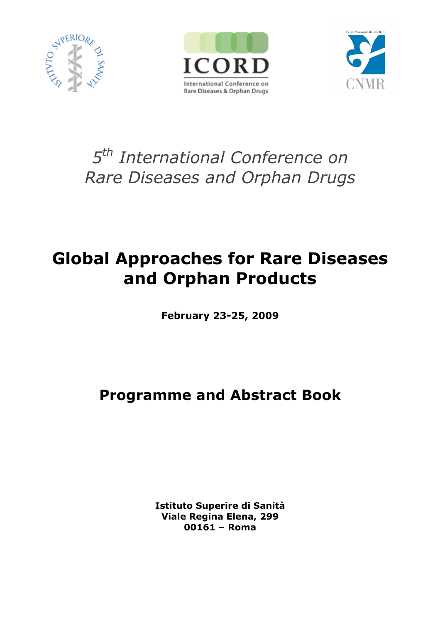





# *5th International Conference on Rare Diseases and Orphan Drugs*

# **Global Approaches for Rare Diseases and Orphan Products**

**February 23-25, 2009**

## **Programme and Abstract Book**

**Istituto Superire di Sanità Viale Regina Elena, 299 00161 – Roma**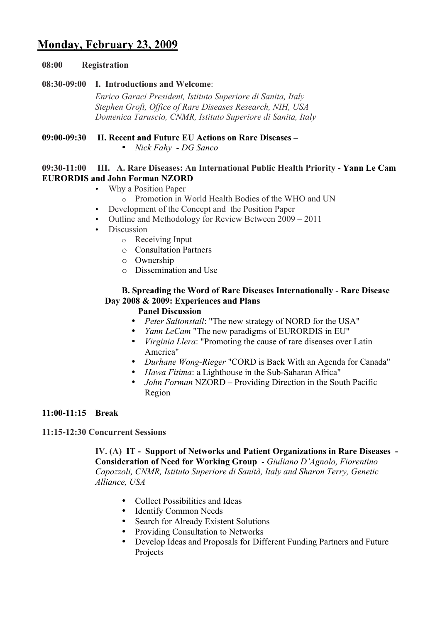## **Monday, February 23, 2009**

## **08:00 Registration**

## **08:30-09:00 I. Introductions and Welcome**:

*Enrico Garaci President, Istituto Superiore di Sanita, Italy Stephen Groft, Office of Rare Diseases Research, NIH, USA Domenica Taruscio, CNMR, Istituto Superiore di Sanita, Italy* 

## **09:00-09:30 II. Recent and Future EU Actions on Rare Diseases –**

• *Nick Fahy - DG Sanco*

## **09:30-11:00 III. A. Rare Diseases: An International Public Health Priority - Yann Le Cam EURORDIS and John Forman NZORD**

- Why a Position Paper
	- o Promotion in World Health Bodies of the WHO and UN
- Development of the Concept and the Position Paper
- Outline and Methodology for Review Between 2009 2011
- Discussion
	- o Receiving Input
	- o Consultation Partners
	- o Ownership
	- o Dissemination and Use

## **B. Spreading the Word of Rare Diseases Internationally - Rare Disease Day 2008 & 2009: Experiences and Plans**

#### **Panel Discussion**

- *Peter Saltonstall*: "The new strategy of NORD for the USA"
- *Yann LeCam* "The new paradigms of EURORDIS in EU"
- *Virginia Llera*: "Promoting the cause of rare diseases over Latin America"
- *Durhane Wong-Rieger* "CORD is Back With an Agenda for Canada"
- *Hawa Fitima*: a Lighthouse in the Sub-Saharan Africa"
- *John Forman* NZORD Providing Direction in the South Pacific Region

## **11:00-11:15 Break**

## **11:15-12:30 Concurrent Sessions**

**IV. (A) IT - Support of Networks and Patient Organizations in Rare Diseases - Consideration of Need for Working Group** *- Giuliano D'Agnolo, Fiorentino Capozzoli, CNMR, Istituto Superiore di Sanità, Italy and Sharon Terry, Genetic Alliance, USA*

- Collect Possibilities and Ideas
- Identify Common Needs
- Search for Already Existent Solutions
- Providing Consultation to Networks
- Develop Ideas and Proposals for Different Funding Partners and Future Projects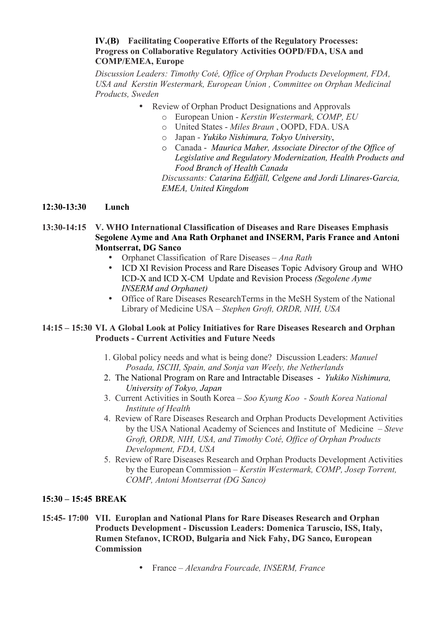## **IV.(B) Facilitating Cooperative Efforts of the Regulatory Processes: Progress on Collaborative Regulatory Activities OOPD/FDA, USA and COMP/EMEA, Europe**

*Discussion Leaders: Timothy Coté, Office of Orphan Products Development, FDA, USA and Kerstin Westermark, European Union , Committee on Orphan Medicinal Products, Sweden*

- Review of Orphan Product Designations and Approvals
	- o European Union *Kerstin Westermark, COMP, EU*
	- o United States *Miles Braun* , OOPD, FDA. USA
	- o Japan *Yukiko Nishimura, Tokyo University*,
	- o Canada *Maurica Maher, Associate Director of the Office of Legislative and Regulatory Modernization, Health Products and Food Branch of Health Canada*

*Discussants: Catarina Edfjäll, Celgene and Jordi Llinares-Garcia, EMEA, United Kingdom*

## **12:30-13:30 Lunch**

## **13:30-14:15 V. WHO International Classification of Diseases and Rare Diseases Emphasis Segolene Ayme and Ana Rath Orphanet and INSERM, Paris France and Antoni Montserrat, DG Sanco**

- Orphanet Classification of Rare Diseases *Ana Rath*
- ICD XI Revision Process and Rare Diseases Topic Advisory Group and WHO ICD-X and ICD X-CM Update and Revision Process *(Segolene Ayme INSERM and Orphanet)*
- Office of Rare Diseases ResearchTerms in the MeSH System of the National Library of Medicine USA – *Stephen Groft, ORDR, NIH, USA*

## **14:15 – 15:30 VI. A Global Look at Policy Initiatives for Rare Diseases Research and Orphan Products - Current Activities and Future Needs**

- 1. Global policy needs and what is being done? Discussion Leaders: *Manuel Posada, ISCIII, Spain, and Sonja van Weely, the Netherlands*
- 2. The National Program on Rare and Intractable Diseases *Yukiko Nishimura, University of Tokyo, Japan*
- 3. Current Activities in South Korea *Soo Kyung Koo South Korea National Institute of Health*
- 4. Review of Rare Diseases Research and Orphan Products Development Activities by the USA National Academy of Sciences and Institute of Medicine – *Steve Groft, ORDR, NIH, USA, and Timothy Coté, Office of Orphan Products Development, FDA, USA*
- 5. Review of Rare Diseases Research and Orphan Products Development Activities by the European Commission – *Kerstin Westermark, COMP, Josep Torrent, COMP, Antoni Montserrat (DG Sanco)*

## **15:30 – 15:45 BREAK**

- **15:45- 17:00 VII. Europlan and National Plans for Rare Diseases Research and Orphan Products Development - Discussion Leaders: Domenica Taruscio, ISS, Italy, Rumen Stefanov, ICROD, Bulgaria and Nick Fahy, DG Sanco, European Commission**
	- France *Alexandra Fourcade, INSERM, France*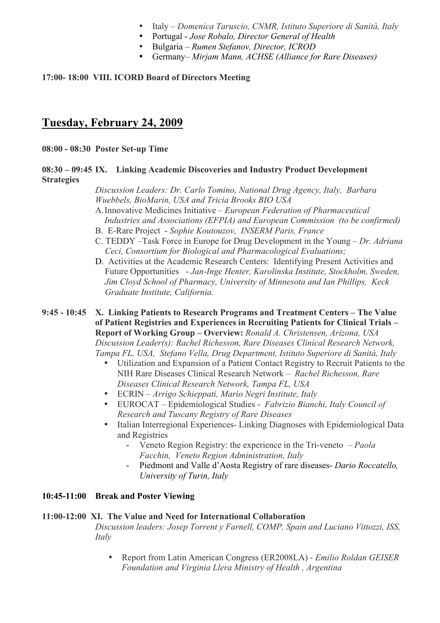- Italy *Domenica Taruscio, CNMR, Istituto Superiore di Sanità, Italy*
- Portugal *Jose Robalo, Director General of Health*
	- Bulgaria *Rumen Stefanov, Director, ICROD*
	- Germany– *Mirjam Mann, ACHSE (Alliance for Rare Diseases)*

## **17:00- 18:00 VIII. ICORD Board of Directors Meeting**

## **Tuesday, February 24, 2009**

**08:00 - 08:30 Poster Set-up Time**

## **08:30 – 09:45 IX. Linking Academic Discoveries and Industry Product Development Strategies**

*Discussion Leaders: Dr. Carlo Tomino, National Drug Agency, Italy, Barbara Wuebbels, BioMarin, USA and Tricia Brooks BIO USA*

- A.Innovative Medicines Initiative *European Federation of Pharmaceutical Industries and Associations (EFPIA) and European Commission (to be confirmed)*
- B. E-Rare Project *Sophie Koutouzov, INSERM Paris, France*
- C. TEDDY –Task Force in Europe for Drug Development in the Young *Dr. Adriana Ceci, Consortium for Biological and Pharmacological Evaluations;*
- D. Activities at the Academic Research Centers: Identifying Present Activities and Future Opportunities - *Jan-Inge Henter, Karolinska Institute, Stockholm, Sweden, Jim Cloyd School of Pharmacy, University of Minnesota and Ian Phillips, Keck Graduate Institute, California.*

**9:45 - 10:45 X. Linking Patients to Research Programs and Treatment Centers – The Value of Patient Registries and Experiences in Recruiting Patients for Clinical Trials – Report of Working Group – Overview:** *Ronald A. Christensen, Arizona, USA Discussion Leader(s): Rachel Richesson, Rare Diseases Clinical Research Network, Tampa FL, USA, Stefano Vella, Drug Department, Istituto Superiore di Sanità, Italy*

- Utilization and Expansion of a Patient Contact Registry to Recruit Patients to the NIH Rare Diseases Clinical Research Network – *Rachel Richesson, Rare Diseases Clinical Research Network, Tampa FL, USA*
- ECRIN *Arrigo Schieppati, Mario Negri Institute, Italy*
- EUROCAT Epidemiological Studies *Fabrizio Bianchi, Italy Council of Research and Tuscany Registry of Rare Diseases*
- Italian Interregional Experiences- Linking Diagnoses with Epidemiological Data and Registries
	- Veneto Region Registry: the experience in the Tri-veneto *Paola Facchin, Veneto Region Administration, Italy*
	- Piedmont and Valle d'Aosta Registry of rare diseases- *Dario Roccatello, University of Turin, Italy*

## **10:45-11:00 Break and Poster Viewing**

## **11:00-12:00 XI. The Value and Need for International Collaboration**

*Discussion leaders: Josep Torrent y Farnell, COMP, Spain and Luciano Vittozzi, ISS, Italy*

• Report from Latin American Congress (ER2008LA) - *Emilio Roldan GEISER Foundation and Virginia Llera Ministry of Health , Argentina*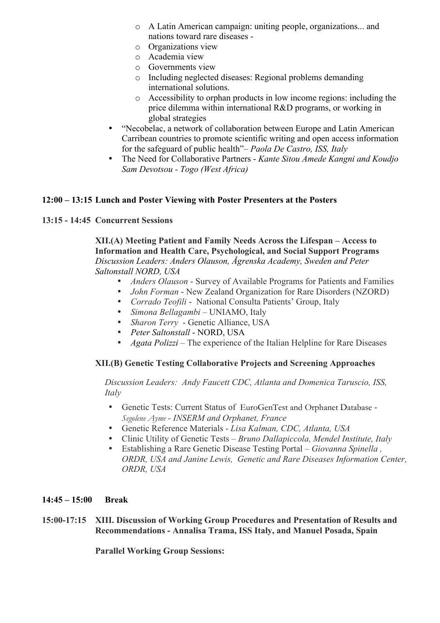- o A Latin American campaign: uniting people, organizations... and nations toward rare diseases -
- o Organizations view
- o Academia view
- o Governments view
- o Including neglected diseases: Regional problems demanding international solutions.
- o Accessibility to orphan products in low income regions: including the price dilemma within international R&D programs, or working in global strategies
- "Necobelac, a network of collaboration between Europe and Latin American Carribean countries to promote scientific writing and open access information for the safeguard of public health"– *Paola De Castro, ISS, Italy*
- The Need for Collaborative Partners *Kante Sitou Amede Kangni and Koudjo Sam Devotsou - Togo (West Africa)*

## **12:00 – 13:15 Lunch and Poster Viewing with Poster Presenters at the Posters**

## **13:15 - 14:45 Concurrent Sessions**

**XII.(A) Meeting Patient and Family Needs Across the Lifespan – Access to Information and Health Care, Psychological, and Social Support Programs**  *Discussion Leaders: Anders Olauson, Ågrenska Academy, Sweden and Peter Saltonstall NORD, USA*

- *Anders Olauson* Survey of Available Programs for Patients and Families
- *John Forman* New Zealand Organization for Rare Disorders (NZORD)
- *Corrado Teofili* National Consulta Patients' Group, Italy
- *Simona Bellagambi* UNIAMO, Italy
- *Sharon Terry* Genetic Alliance, USA
- *Peter Saltonstall* NORD, USA
- *Agata Polizzi* The experience of the Italian Helpline for Rare Diseases

## **XII.(B) Genetic Testing Collaborative Projects and Screening Approaches**

*Discussion Leaders: Andy Faucett CDC, Atlanta and Domenica Taruscio, ISS, Italy*

- Genetic Tests: Current Status of EuroGenTest and Orphanet Database *Segolene Ayme - INSERM and Orphanet, France*
- Genetic Reference Materials *Lisa Kalman, CDC, Atlanta, USA*
- Clinic Utility of Genetic Tests *Bruno Dallapiccola, Mendel Institute, Italy*
- Establishing a Rare Genetic Disease Testing Portal *Giovanna Spinella , ORDR, USA and Janine Lewis, Genetic and Rare Diseases Information Center, ORDR, USA*

## **14:45 – 15:00 Break**

**15:00-17:15 XIII. Discussion of Working Group Procedures and Presentation of Results and Recommendations - Annalisa Trama, ISS Italy, and Manuel Posada, Spain**

**Parallel Working Group Sessions:**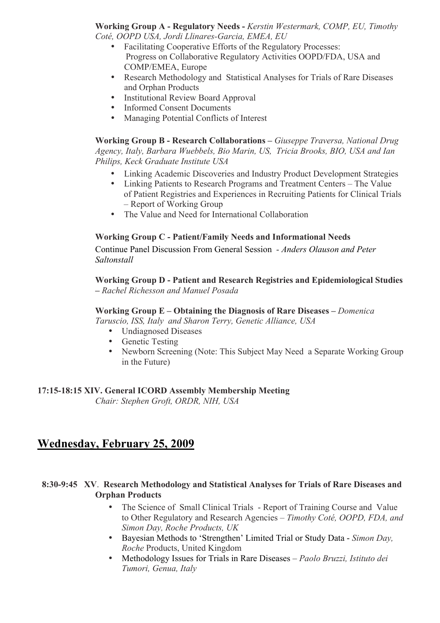**Working Group A - Regulatory Needs -** *Kerstin Westermark, COMP, EU, Timothy Coté, OOPD USA, Jordi Llinares-Garcia, EMEA, EU*

- Facilitating Cooperative Efforts of the Regulatory Processes: Progress on Collaborative Regulatory Activities OOPD/FDA, USA and COMP/EMEA, Europe
- Research Methodology and Statistical Analyses for Trials of Rare Diseases and Orphan Products
- Institutional Review Board Approval
- Informed Consent Documents
- Managing Potential Conflicts of Interest

**Working Group B - Research Collaborations –** *Giuseppe Traversa, National Drug Agency, Italy, Barbara Wuebbels, Bio Marin, US, Tricia Brooks, BIO, USA and Ian Philips, Keck Graduate Institute USA*

- Linking Academic Discoveries and Industry Product Development Strategies
- Linking Patients to Research Programs and Treatment Centers The Value of Patient Registries and Experiences in Recruiting Patients for Clinical Trials – Report of Working Group
- The Value and Need for International Collaboration

## **Working Group C - Patient/Family Needs and Informational Needs**

Continue Panel Discussion From General Session *- Anders Olauson and Peter Saltonstall*

**Working Group D - Patient and Research Registries and Epidemiological Studies –** *Rachel Richesson and Manuel Posada*

## **Working Group E – Obtaining the Diagnosis of Rare Diseases –** *Domenica*

*Taruscio, ISS, Italy and Sharon Terry, Genetic Alliance, USA*

- Undiagnosed Diseases
- Genetic Testing
- Newborn Screening (Note: This Subject May Need a Separate Working Group in the Future)

## **17:15-18:15 XIV. General ICORD Assembly Membership Meeting**

*Chair: Stephen Groft, ORDR, NIH, USA*

## **Wednesday, February 25, 2009**

## **8:30-9:45 XV**. **Research Methodology and Statistical Analyses for Trials of Rare Diseases and Orphan Products**

- The Science of Small Clinical Trials Report of Training Course and Value to Other Regulatory and Research Agencies – *Timothy Coté, OOPD, FDA, and Simon Day, Roche Products, UK*
- Bayesian Methods to 'Strengthen' Limited Trial or Study Data *Simon Day, Roche* Products, United Kingdom
- Methodology Issues for Trials in Rare Diseases *Paolo Bruzzi, Istituto dei Tumori, Genua, Italy*